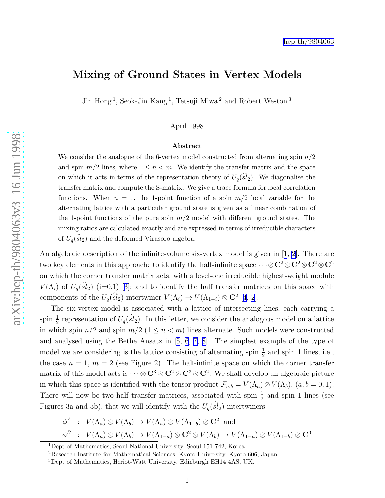## <span id="page-0-0"></span>Mixing of Ground States in Vertex Models

Jin Hong<sup>1</sup>, Seok-Jin Kang<sup>1</sup>, Tetsuji Miwa<sup>2</sup> and Robert Weston<sup>3</sup>

April 1998

## Abstract

We consider the analogue of the 6-vertex model constructed from alternating spin  $n/2$ and spin  $m/2$  lines, where  $1 \leq n < m$ . We identify the transfer matrix and the space on which it acts in terms of the representation theory of  $U_q(sl_2)$ . We diagonalise the transfer matrix and compute the S-matrix. We give a trace formula for local correlation functions. When  $n = 1$ , the 1-point function of a spin  $m/2$  local variable for the alternating lattice with a particular ground state is given as a linear combination of the 1-point functions of the pure spin  $m/2$  model with different ground states. The mixing ratios are calculated exactly and are expressed in terms of irreducible characters of  $U_q(sl_2)$  and the deformed Virasoro algebra.

An algebraic description of the infinite-volume six-vertex model is given in[[1](#page-11-0), [2](#page-11-0)]. There are two key elements in this approach: to identify the half-infinite space  $\cdots \otimes C^2 \otimes C^2 \otimes C^2 \otimes C^2$ on which the corner transfer matrix acts, with a level-one irreducible highest-weight module  $V(\Lambda_i)$ of  $U_q(\hat{sl}_2)$  (i=0,1) [[3\]](#page-11-0); and to identify the half transfer matrices on this space with components of the  $U_q(\hat{sl}_2)$  intertwiner  $V(\Lambda_i) \to V(\Lambda_{1-i}) \otimes \mathbb{C}^2$  [[4](#page-11-0), [2](#page-11-0)].

The six-vertex model is associated with a lattice of intersecting lines, each carrying a spin  $\frac{1}{2}$  representation of  $U_q(\widehat{sl}_2)$ . In this letter, we consider the analogous model on a lattice in which spin  $n/2$  and spin  $m/2$   $(1 \leq n < m)$  lines alternate. Such models were constructed and analysed using the Bethe Ansatz in [\[5](#page-11-0), [6, 7, 8\]](#page-11-0). The simplest example of the type of model we are considering is the lattice consisting of alternating spin  $\frac{1}{2}$  and spin 1 lines, i.e., the case  $n = 1, m = 2$  (see Figure 2). The half-infinite space on which the corner transfer matrix of this model acts is  $\cdots \otimes C^3 \otimes C^2 \otimes C^3 \otimes C^2$ . We shall develop an algebraic picture in which this space is identified with the tensor product  $\mathcal{F}_{a,b} = V(\Lambda_a) \otimes V(\Lambda_b)$ ,  $(a, b = 0, 1)$ . There will now be two half transfer matrices, associated with spin  $\frac{1}{2}$  and spin 1 lines (see Figures 3a and 3b), that we will identify with the  $U_q(sl_2)$  intertwiners

$$
\begin{aligned}\n\phi^A & : V(\Lambda_a) \otimes V(\Lambda_b) \to V(\Lambda_a) \otimes V(\Lambda_{1-b}) \otimes \mathbf{C}^2 \text{ and} \\
\phi^B & : V(\Lambda_a) \otimes V(\Lambda_b) \to V(\Lambda_{1-a}) \otimes \mathbf{C}^2 \otimes V(\Lambda_b) \to V(\Lambda_{1-a}) \otimes V(\Lambda_{1-b}) \otimes \mathbf{C}^3\n\end{aligned}
$$

<sup>&</sup>lt;sup>1</sup>Dept of Mathematics, Seoul National University, Seoul 151-742, Korea.  ${}^{2}$ Research Institute for Mathematical Sciences, Kyoto University, Kyoto 606, Japan.  ${}^{3}$ Dept of Mathematics, Heriot-Watt University, Edinburgh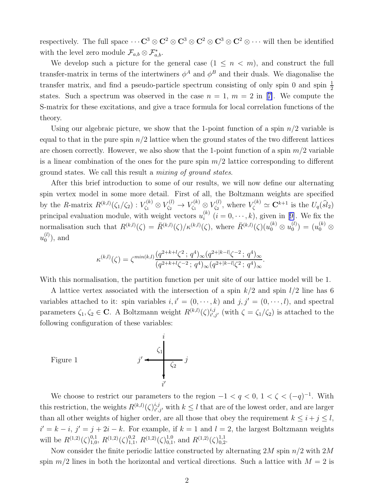respectively. The full space  $\cdots C^3 \otimes C^2 \otimes C^3 \otimes C^2 \otimes C^3 \otimes C^2 \otimes \cdots$  will then be identified with the level zero module  $\mathcal{F}_{a,b} \otimes \mathcal{F}_{a,b}^*$ .

We develop such a picture for the general case  $(1 \leq n \leq m)$ , and construct the full transfer-matrix in terms of the intertwiners  $\phi^A$  and  $\phi^B$  and their duals. We diagonalise the transfer matrix, and find a pseudo-particle spectrum consisting of only spin 0 and spin  $\frac{1}{2}$ states.Such a spectrum was observed in the case  $n = 1, m = 2$  in [[7\]](#page-11-0). We compute the S-matrix for these excitations, and give a trace formula for local correlation functions of the theory.

Using our algebraic picture, we show that the 1-point function of a spin  $n/2$  variable is equal to that in the pure spin  $n/2$  lattice when the ground states of the two different lattices are chosen correctly. However, we also show that the 1-point function of a spin  $m/2$  variable is a linear combination of the ones for the pure spin  $m/2$  lattice corresponding to different ground states. We call this result a mixing of ground states.

After this brief introduction to some of our results, we will now define our alternating spin vertex model in some more detail. First of all, the Boltzmann weights are specified by the R-matrix  $R^{(k,l)}(\zeta_1/\zeta_2) : V_{\zeta_1}^{(k)} \otimes V_{\zeta_2}^{(l)} \to V_{\zeta_1}^{(k)} \otimes V_{\zeta_2}^{(l)}$  $V^{(l)}_{\zeta_2}$ , where  $V^{(k)}_{\zeta} \simeq \mathbf{C}^{k+1}$  is the  $U_q(\widehat{sl}_2)$ principal evaluation module, with weight vectors  $u_i^{(k)}$  $i_i^{(k)}$  $(i = 0, \dots, k)$ , given in [[9\]](#page-11-0). We fix the normalisation such that  $R^{(k,l)}(\zeta) = \bar{R}^{(k,l)}(\zeta)/\kappa^{(k,l)}(\zeta)$ , where  $\bar{R}^{(k,l)}(\zeta)(u_0^{(k)} \otimes u_0^{(l)})$  $\binom{(l)}{0} = (u_0^{(k)}\otimes$  $u_0^{(l)}$  $\binom{u}{0}$ , and

$$
\kappa^{(k,l)}(\zeta) = \zeta^{\min(k,l)} \frac{(q^{2+k+l}\zeta^2 \, ; \, q^4)_{\infty} (q^{2+|k-l|}\zeta^{-2} \, ; \, q^4)_{\infty}}{(q^{2+k+l}\zeta^{-2} \, ; \, q^4)_{\infty} (q^{2+|k-l|}\zeta^2 \, ; \, q^4)_{\infty}}.
$$

With this normalisation, the partition function per unit site of our lattice model will be 1.

A lattice vertex associated with the intersection of a spin  $k/2$  and spin  $l/2$  line has 6 variables attached to it: spin variables  $i, i' = (0, \dots, k)$  and  $j, j' = (0, \dots, l)$ , and spectral parameters  $\zeta_1, \zeta_2 \in \mathbf{C}$ . A Boltzmann weight  $R^{(k,l)}(\zeta)_{i',l}^{i,j}$  $i,j'_{i',j'}$  (with  $\zeta = \zeta_1/\zeta_2$ ) is attached to the following configuration of these variables:

Figure 1

$$
j' \leftarrow \begin{array}{c} i \\ \zeta_1 \\ \zeta_2 \\ \zeta_3 \\ i' \end{array}
$$

We choose to restrict our parameters to the region  $-1 < q < 0, 1 < \zeta < (-q)^{-1}$ . With this restriction, the weights  $R^{(k,l)}(\zeta)_{i',l}^{i,j}$  $i_{i',j'}^{i,j}$  with  $k \leq l$  that are of the lowest order, and are larger than all other weights of higher order, are all those that obey the requirement  $k \leq i + j \leq l$ ,  $i' = k - i$ ,  $j' = j + 2i - k$ . For example, if  $k = 1$  and  $l = 2$ , the largest Boltzmann weights will be  $R^{(1,2)}(\zeta)_{1,0}^{0,1}$  $^{0,1}_{1,0}, R^{(1,2)}(\zeta)^{0,2}_{1,1}$  $^{0,2}_{1,1}$ ,  $R^{(1,2)}(\zeta)^{1,0}_{0,1}$  $_{0,1}^{1,0}$ , and  $R^{(1,2)}(\zeta)_{0,2}^{1,1}$  $^{1,1}_{0,2}$ .

Now consider the finite periodic lattice constructed by alternating  $2M$  spin  $n/2$  with  $2M$ spin  $m/2$  lines in both the horizontal and vertical directions. Such a lattice with  $M = 2$  is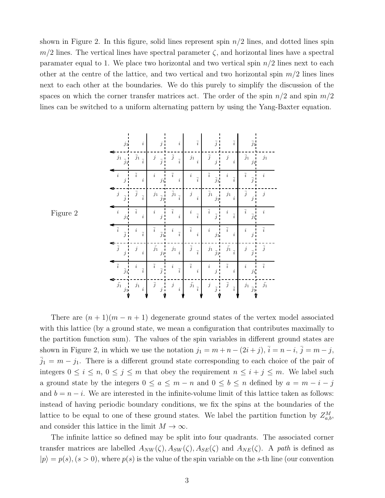shown in Figure 2. In this figure, solid lines represent spin  $n/2$  lines, and dotted lines spin  $m/2$  lines. The vertical lines have spectral parameter  $\zeta$ , and horizontal lines have a spectral paramater equal to 1. We place two horizontal and two vertical spin  $n/2$  lines next to each other at the centre of the lattice, and two vertical and two horizontal spin  $m/2$  lines lines next to each other at the boundaries. We do this purely to simplify the discussion of the spaces on which the corner transfer matrices act. The order of the spin  $n/2$  and spin  $m/2$ lines can be switched to a uniform alternating pattern by using the Yang-Baxter equation.

| $j_1$                                 | $\it i$                            | j                                              | $\it i$                            | $\overline{i}$                       | $\overline{j}$                              | $\overline{i}$                   |                                       |                |
|---------------------------------------|------------------------------------|------------------------------------------------|------------------------------------|--------------------------------------|---------------------------------------------|----------------------------------|---------------------------------------|----------------|
| $j_1$ $_{\bar{j}_1}$                  | $\overline{j}_1$<br>$\overline{i}$ | $\boldsymbol{j}$<br>$\vdots$<br>$\overline{j}$ | $\overline{j}$<br>$\overline{i}$   | $j_1\,$<br>$\dot{i}$                 | $\mathbf{I}$<br>$\overline{j}$<br>$\dot{j}$ | $\boldsymbol{j}$<br>i            | $\frac{j_1}{j_2}$<br>$\overline{j}_1$ | $j_1$          |
| f.<br>$\it i$<br>$\boldsymbol{j}$     | $\overline{i}$<br>$\boldsymbol{i}$ | $\it i$<br>$j_1$                               | $\overline{i}$<br>$\boldsymbol{i}$ | $\it i$<br>$\overline{i}$            | $\overline{i}$<br>$\overline{j}_1$          | $\it i$<br>$\overline{i}$        | $\overline{i}$<br>$\overline{j}$      | $\dot{i}$      |
| $\boldsymbol{j}$<br>$\overline{j}$    | $\overline{j}$<br>$\overline{i}$   | $j_1$ $_{\bar{j}_1}$                           | $\bar{j}_1$ $_{\bar{i}}$           | $\boldsymbol{j}$<br>$\boldsymbol{i}$ | $\overline{j}_1$<br>I<br>$j_1\,$            | $\ensuremath{j_{1}}$<br>i        | $\overline{j}$<br>$\boldsymbol{j}$    | $\dot{j}$      |
| $\it i$<br>$j_{\rm 1}$                | $\overline{i}$<br>$\boldsymbol{i}$ | $\begin{bmatrix} j \end{bmatrix}$<br>$\it i$   | $\overline{i}$<br>$\it i$          | $\it i$<br>$\overline{i}$            | $\overline{i}$<br>$\overline{j}$            | $\it i$<br>$\overline{i}$        | $\overline{i}$<br>$\overline{j}_1$    | i              |
| $\overline{i}$<br>$\overline{j}$      | $\it i$<br>$\overline{i}$          | $\overline{i}$<br>$\overline{j}_1$             | $\it i$<br>$\overline{i}$          | $\overline{i}$<br>$\boldsymbol{i}$   | $\it i$<br>$j_1$                            | $\overline{i}$<br>i              | $\it i$<br>$\boldsymbol{j}$           | $\overline{i}$ |
| $\frac{1}{j}$<br>$\boldsymbol{j}$     | $\boldsymbol{j}$<br>$\dot{i}$      | $\bar{j_1}$<br>$\frac{1}{j_1}$                 | $\ensuremath{j}_1$<br>$\dot{i}$    | $\overline{j}$<br>$\overline{i}$     | $\overline{j}_1$<br>$j_1\,$                 | $\bar{j_1}$<br>$\overline{i}$    | $\boldsymbol{j}$<br>$\overline{j}$    | $\overline{j}$ |
| $\overline{i}$<br>$\overline{j}_1$    | $\it i$<br>$\overline{i}$          | $\overline{i}$<br>i<br>$\overline{j}$          | $\boldsymbol{i}$<br>$\overline{i}$ | $\overline{i}$<br>$\dot{i}$          | $\it i$<br>$\boldsymbol{j}$                 | $\overline{i}$<br>$\dot{i}$      | $\it i$<br>$j_1\,$                    | $\overline{i}$ |
| $\bar{j_1}$<br>$\frac{j_1}{\sqrt{2}}$ | $j_1\,$<br>$\dot{i}$               | $\overline{j}$<br>i<br>$\boldsymbol{j}$        | $\boldsymbol{j}$<br>$\dot{i}$      | $\bar{j_1}_{\bar{i}}$ )              | $\boldsymbol{j}$<br>$\overline{j}$          | $\overline{j}$<br>$\overline{i}$ | $j_1$<br>$\overline{j}_1$             | $\bar{j_1}$    |

Figure 2

There are  $(n+1)(m-n+1)$  degenerate ground states of the vertex model associated with this lattice (by a ground state, we mean a configuration that contributes maximally to the partition function sum). The values of the spin variables in different ground states are shown in Figure 2, in which we use the notation  $j_1 = m + n - (2i + j)$ ,  $\overline{i} = n - i$ ,  $\overline{j} = m - j$ ,  $\bar{j}_1 = m - j_1$ . There is a different ground state corresponding to each choice of the pair of integers  $0 \le i \le n$ ,  $0 \le j \le m$  that obey the requirement  $n \le i + j \le m$ . We label such a ground state by the integers  $0 \le a \le m - n$  and  $0 \le b \le n$  defined by  $a = m - i - j$ and  $b = n - i$ . We are interested in the infinite-volume limit of this lattice taken as follows: instead of having periodic boundary conditions, we fix the spins at the boundaries of the lattice to be equal to one of these ground states. We label the partition function by  $Z_{a,b}^M$ , and consider this lattice in the limit  $M \to \infty$ .

The infinite lattice so defined may be split into four quadrants. The associated corner transfer matrices are labelled  $A_{NW}(\zeta), A_{SW}(\zeta), A_{SE}(\zeta)$  and  $A_{NE}(\zeta)$ . A path is defined as  $|p\rangle = p(s), (s > 0)$ , where  $p(s)$  is the value of the spin variable on the s-th line (our convention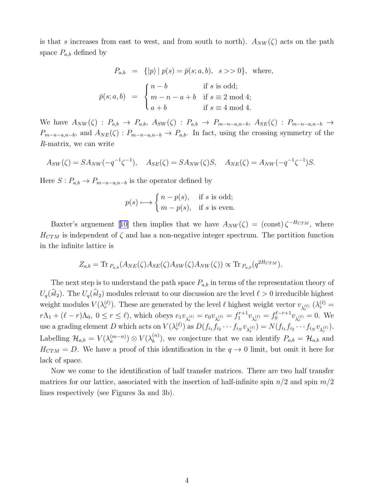is that s increases from east to west, and from south to north).  $A_{NW}(\zeta)$  acts on the path space  $P_{a,b}$  defined by

$$
P_{a,b} = \{|p\rangle | p(s) = \bar{p}(s; a, b), s \gg 0\}, \text{ where,}
$$

$$
\bar{p}(s; a, b) = \begin{cases} n-b & \text{if } s \text{ is odd;} \\ m-n-a+b & \text{if } s \equiv 2 \text{ mod } 4; \\ a+b & \text{if } s \equiv 4 \text{ mod } 4. \end{cases}
$$

We have  $A_{NW}(\zeta) : P_{a,b} \to P_{a,b}$ ,  $A_{SW}(\zeta) : P_{a,b} \to P_{m-n-a,n-b}$ ,  $A_{SE}(\zeta) : P_{m-n-a,n-b} \to$  $P_{m-n-a,n-b}$ , and  $A_{NE}(\zeta): P_{m-n-a,n-b} \to P_{a,b}$ . In fact, using the crossing symmetry of the R-matrix, we can write

$$
A_{SW}(\zeta) = SA_{NW}(-q^{-1}\zeta^{-1}), \quad A_{SE}(\zeta) = SA_{NW}(\zeta)S, \quad A_{NE}(\zeta) = A_{NW}(-q^{-1}\zeta^{-1})S.
$$

Here  $S: P_{a,b} \to P_{m-n-a,n-b}$  is the operator defined by

$$
p(s) \longmapsto \begin{cases} n - p(s), & \text{if } s \text{ is odd;} \\ m - p(s), & \text{if } s \text{ is even.} \end{cases}
$$

Baxter'sarguement [[10\]](#page-11-0) then implies that we have  $A_{NW}(\zeta) = (\text{const}) \zeta^{-H_{CTM}}$ , where  $H_{CTM}$  is independent of  $\zeta$  and has a non-negative integer spectrum. The partition function in the infinite lattice is

$$
Z_{a,b} = \text{Tr}_{P_{a,b}}(A_{NE}(\zeta)A_{SE}(\zeta)A_{SW}(\zeta)A_{NW}(\zeta)) \propto \text{Tr}_{P_{a,b}}(q^{2H_{CTM}}).
$$

The next step is to understand the path space  $P_{a,b}$  in terms of the representation theory of  $U_q(sl_2)$ . The  $U_q(sl_2)$  modules relevant to our discussion are the level  $\ell > 0$  irreducible highest weight modules  $V(\lambda_r^{(\ell)})$ . These are generated by the level  $\ell$  highest weight vector  $v_{\lambda_r^{(\ell)}}(\lambda_r^{(\ell)})$  $r\Lambda_1 + (\ell - r)\Lambda_0$ ,  $0 \le r \le \ell$ ), which obeys  $e_1v_{\lambda_r^{(\ell)}} = e_0v_{\lambda_r^{(\ell)}} = f_1^{r+1}v_{\lambda_r^{(\ell)}} = f_0^{\ell-r+1}v_{\lambda_r^{(\ell)}} = 0$ . We use a grading element D which acts on  $V(\lambda_r^{(\ell)})$  as  $D(f_{i_1}f_{i_2}\cdots f_{i_N}v_{\lambda_r^{(\ell)}})=N(f_{i_1}f_{i_2}\cdots f_{i_N}v_{\lambda_r^{(\ell)}}).$ Labelling  $\mathcal{H}_{a,b} = V(\lambda_a^{(m-n)}) \otimes V(\lambda_b^{(n)})$  $b^{(n)}_b$ , we conjecture that we can identify  $P_{a,b} = \mathcal{H}_{a,b}$  and  $H_{CTM} = D$ . We have a proof of this identification in the  $q \to 0$  limit, but omit it here for lack of space.

Now we come to the identification of half transfer matrices. There are two half transfer matrices for our lattice, associated with the insertion of half-infinite spin  $n/2$  and spin  $m/2$ lines respectively (see Figures 3a and 3b).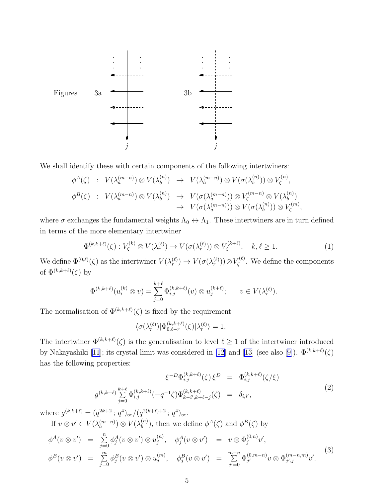<span id="page-4-0"></span>

We shall identify these with certain components of the following intertwiners:

$$
\begin{array}{rcl}\n\phi^A(\zeta) & \colon & V(\lambda_a^{(m-n)}) \otimes V(\lambda_b^{(n)}) \quad \to & V(\lambda_a^{(m-n)}) \otimes V(\sigma(\lambda_b^{(n)})) \otimes V_{\zeta}^{(n)}, \\
\phi^B(\zeta) & \colon & V(\lambda_a^{(m-n)}) \otimes V(\lambda_b^{(n)}) \quad \to & V(\sigma(\lambda_a^{(m-n)})) \otimes V_{\zeta}^{(m-n)} \otimes V(\lambda_b^{(n)}) \\
& \to & V(\sigma(\lambda_a^{(m-n)})) \otimes V(\sigma(\lambda_b^{(n)})) \otimes V_{\zeta}^{(m)},\n\end{array}
$$

where  $\sigma$  exchanges the fundamental weights  $\Lambda_0 \leftrightarrow \Lambda_1$ . These intertwiners are in turn defined in terms of the more elementary intertwiner

$$
\Phi^{(k,k+\ell)}(\zeta) : V_{\zeta}^{(k)} \otimes V(\lambda_r^{(\ell)}) \to V(\sigma(\lambda_r^{(\ell)})) \otimes V_{\zeta}^{(k+\ell)}, \quad k, \ell \ge 1. \tag{1}
$$

We define  $\Phi^{(0,\ell)}(\zeta)$  as the intertwiner  $V(\lambda_r^{(\ell)}) \to V(\sigma(\lambda_r^{(\ell)})) \otimes V_{\zeta}^{(\ell)}$  $\zeta^{(t)}$ . We define the components of  $\Phi^{(k,k+\ell)}(\zeta)$  by

$$
\Phi^{(k,k+\ell)}(u_i^{(k)} \otimes v) = \sum_{j=0}^{k+\ell} \Phi_{i,j}^{(k,k+\ell)}(v) \otimes u_j^{(k+\ell)}; \qquad v \in V(\lambda_r^{(\ell)}).
$$

The normalisation of  $\Phi^{(k,k+\ell)}(\zeta)$  is fixed by the requirement

$$
\langle \sigma(\lambda_r^{(\ell)})|\Phi_{0,\ell-r}^{(k,k+\ell)}(\zeta)|\lambda_r^{(\ell)}\rangle=1.
$$

The intertwiner  $\Phi^{(k,k+\ell)}(\zeta)$  is the generalisation to level  $\ell \geq 1$  of the intertwiner introduced by Nakayashiki [\[11\]](#page-11-0); its crystal limit was considered in [\[12\]](#page-11-0) and [\[13\]](#page-11-0)(see also [[9\]](#page-11-0)).  $\Phi^{(k,k+\ell)}(\zeta)$ has the following properties:

$$
\xi^{-D}\Phi_{i,j}^{(k,k+\ell)}(\zeta)\,\xi^D = \Phi_{i,j}^{(k,k+\ell)}(\zeta/\xi)
$$
\n
$$
g^{(k,k+\ell)}\sum_{j=0}^{k+\ell}\Phi_{i,j}^{(k,k+\ell)}(-q^{-1}\zeta)\Phi_{k-i',k+\ell-j}^{(k,k+\ell)}(\zeta) = \delta_{i,i'},
$$
\n
$$
(2)
$$

where  $g^{(k,k+\ell)} = (q^{2k+2} \,; \, q^4)_{\infty}/(q^{2(k+\ell)+2} \,; \, q^4)_{\infty}.$ 

If  $v \otimes v' \in V(\lambda_a^{(m-n)}) \otimes V(\lambda_b^{(n)})$  $\phi^{(n)}_b$ , then we define  $\phi^A(\zeta)$  and  $\phi^B(\zeta)$  by

$$
\phi^{A}(v \otimes v') = \sum_{j=0}^{n} \phi_{j}^{A}(v \otimes v') \otimes u_{j}^{(n)}, \quad \phi_{j}^{A}(v \otimes v') = v \otimes \Phi_{j}^{(0,n)}v', \phi^{B}(v \otimes v') = \sum_{j=0}^{m} \phi_{j}^{B}(v \otimes v') \otimes u_{j}^{(m)}, \quad \phi_{j}^{B}(v \otimes v') = \sum_{j'=0}^{m-n} \Phi_{j'}^{(0,m-n)}v \otimes \Phi_{j',j}^{(m-n,m)}v'.
$$
\n(3)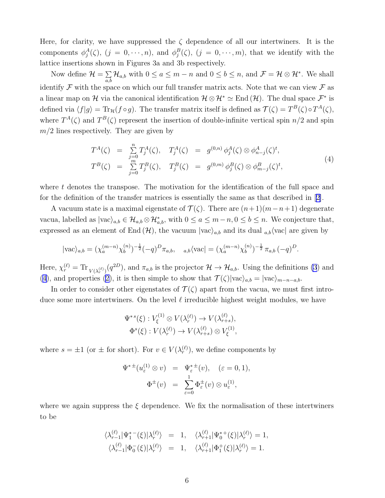<span id="page-5-0"></span>Here, for clarity, we have suppressed the  $\zeta$  dependence of all our intertwiners. It is the components  $\phi_j^A(\zeta), (j = 0, \dots, n)$ , and  $\phi_j^B(\zeta), (j = 0, \dots, m)$ , that we identify with the lattice insertions shown in Figures 3a and 3b respectively.

Now define  $\mathcal{H} = \sum$  $\sum_{a,b} \mathcal{H}_{a,b}$  with  $0 \le a \le m-n$  and  $0 \le b \le n$ , and  $\mathcal{F} = \mathcal{H} \otimes \mathcal{H}^*$ . We shall identify  $\mathcal F$  with the space on which our full transfer matrix acts. Note that we can view  $\mathcal F$  as a linear map on H via the canonical identification  $\mathcal{H} \otimes \mathcal{H}^* \simeq \text{End}(\mathcal{H})$ . The dual space  $\mathcal{F}^*$  is defined via  $\langle f|g\rangle = \text{Tr}_{\mathcal{H}}(f \circ g)$ . The transfer matrix itself is defined as  $\mathcal{T}(\zeta) = T^B(\zeta) \circ T^A(\zeta)$ , where  $T^A(\zeta)$  and  $T^B(\zeta)$  represent the insertion of double-infinite vertical spin  $n/2$  and spin  $m/2$  lines respectively. They are given by

$$
T^{A}(\zeta) = \sum_{j=0}^{n} T_{j}^{A}(\zeta), \quad T_{j}^{A}(\zeta) = g^{(0,n)} \phi_{j}^{A}(\zeta) \otimes \phi_{n-j}^{A}(\zeta)^{t},
$$
  
\n
$$
T^{B}(\zeta) = \sum_{j=0}^{m} T_{j}^{B}(\zeta), \quad T_{j}^{B}(\zeta) = g^{(0,m)} \phi_{j}^{B}(\zeta) \otimes \phi_{m-j}^{B}(\zeta)^{t},
$$
\n(4)

where  $t$  denotes the transpose. The motivation for the identification of the full space and for the definition of the transfer matrices is essentially the same as that described in[[2\]](#page-11-0).

A vacuum state is a maximal eigenstate of  $\mathcal{T}(\zeta)$ . There are  $(n+1)(m-n+1)$  degenerate vacua, labelled as  $|{\rm vac}\rangle_{a,b} \in \mathcal{H}_{a,b} \otimes \mathcal{H}_{a,b}^*$ , with  $0 \le a \le m-n, 0 \le b \le n$ . We conjecture that, expressed as an element of End  $(\mathcal{H})$ , the vacuum  $|vac\rangle_{a,b}$  and its dual  $a,b$  (vac) are given by

$$
|\text{vac}\rangle_{a,b} = (\chi_a^{(m-n)} \chi_b^{(n)})^{-\frac{1}{2}} (-q)^D \pi_{a,b}, \quad a,b \langle \text{vac} | = (\chi_a^{(m-n)} \chi_b^{(n)})^{-\frac{1}{2}} \pi_{a,b} (-q)^D.
$$

Here,  $\chi_r^{(\ell)} = \text{Tr}_{V(\lambda_r^{(\ell)})}(q^{2D})$ , and  $\pi_{a,b}$  is the projector  $\mathcal{H} \to \mathcal{H}_{a,b}$ . Using the definitions [\(3](#page-4-0)) and (4),and properties ([2\)](#page-4-0), it is then simple to show that  $\mathcal{T}(\zeta)|\text{vac}\rangle_{a,b} = |\text{vac}\rangle_{m-n-a,b}$ .

In order to consider other eigenstates of  $\mathcal{T}(\zeta)$  apart from the vacua, we must first introduce some more intertwiners. On the level  $\ell$  irreducible highest weight modules, we have

$$
\Psi^{*s}(\xi) : V_{\xi}^{(1)} \otimes V(\lambda_r^{(\ell)}) \to V(\lambda_{r+s}^{(\ell)}),
$$
  

$$
\Phi^{s}(\xi) : V(\lambda_r^{(\ell)}) \to V(\lambda_{r+s}^{(\ell)}) \otimes V_{\xi}^{(1)},
$$

where  $s = \pm 1$  (or  $\pm$  for short). For  $v \in V(\lambda_r^{(\ell)})$ , we define components by

$$
\Psi^{* \pm}(u_{\varepsilon}^{(1)} \otimes v) = \Psi_{\varepsilon}^{* \pm}(v), \quad (\varepsilon = 0, 1),
$$
  

$$
\Phi^{\pm}(v) = \sum_{\varepsilon=0}^{1} \Phi_{\varepsilon}^{\pm}(v) \otimes u_{\varepsilon}^{(1)},
$$

where we again suppress the  $\xi$  dependence. We fix the normalisation of these intertwiners to be

$$
\begin{array}{rcl}\n\langle \lambda_{r-1}^{(\ell)} | \Psi_1^{*-}(\xi) | \lambda_r^{(\ell)} \rangle & = & 1, \quad \langle \lambda_{r+1}^{(\ell)} | \Psi_0^{*+}(\xi) | \lambda_r^{(\ell)} \rangle = 1, \\
\langle \lambda_{r-1}^{(\ell)} | \Phi_0^{-}(\xi) | \lambda_r^{(\ell)} \rangle & = & 1, \quad \langle \lambda_{r+1}^{(\ell)} | \Phi_1^{+}(\xi) | \lambda_r^{(\ell)} \rangle = 1.\n\end{array}
$$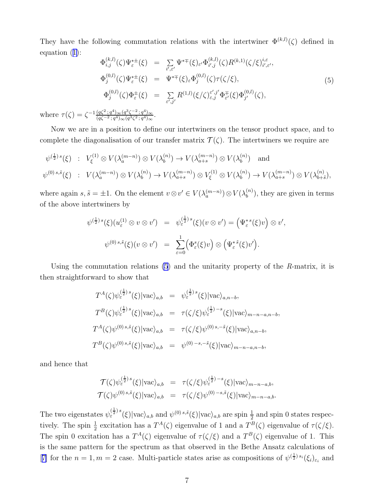<span id="page-6-0"></span>They have the following commutation relations with the intertwiner  $\Phi^{(k,l)}(\zeta)$  defined in equation([1\)](#page-0-0):

$$
\Phi_{i,j}^{(k,l)}(\zeta)\Psi_{\varepsilon}^{*+}(\xi) = \sum_{i',\varepsilon'} \Psi^{*\mp}(\xi)_{\varepsilon'} \Phi_{i',j}^{(k,l)}(\zeta) R^{(k,1)}(\zeta/\xi)_{i',\varepsilon'}^{i,\varepsilon'},\n\Phi_{j}^{(0,l)}(\zeta)\Psi_{\varepsilon}^{*\pm}(\xi) = \Psi^{*\mp}(\xi)_{\varepsilon} \Phi_{j}^{(0,l)}(\zeta) \tau(\zeta/\xi),\n\Phi_{j}^{(0,l)}(\zeta)\Phi_{\varepsilon}^{\pm}(\xi) = \sum_{\varepsilon',j'} R^{(1,l)}(\xi/\zeta)_{\varepsilon,j}^{\varepsilon',j'} \Phi_{\varepsilon'}^{\mp}(\xi) \Phi_{j'}^{(0,l)}(\zeta),
$$
\n(5)

where  $\tau(\zeta) = \zeta^{-1} \frac{(q\zeta^2; q^4)_{\infty} (q^3\zeta^{-2}; q^4)_{\infty}}{(q\zeta^{-2}; q^4)_{\infty} (q^3\zeta^2; q^4)_{\infty}}$ .

Now we are in a position to define our intertwiners on the tensor product space, and to complete the diagonalisation of our transfer matrix  $\mathcal{T}(\zeta)$ . The intertwiners we require are

$$
\psi^{(\frac{1}{2})s}(\xi) : V_{\xi}^{(1)} \otimes V(\lambda_a^{(m-n)}) \otimes V(\lambda_b^{(n)}) \to V(\lambda_{a+s}^{(m-n)}) \otimes V(\lambda_b^{(n)}) \text{ and}
$$
  

$$
\psi^{(0)s,\tilde{s}}(\xi) : V(\lambda_a^{(m-n)}) \otimes V(\lambda_b^{(n)}) \to V(\lambda_{a+s}^{(m-n)}) \otimes V_{\xi}^{(1)} \otimes V(\lambda_b^{(n)}) \to V(\lambda_{a+s}^{(m-n)}) \otimes V(\lambda_{b+\tilde{s}}^{(n)}),
$$

where again  $s, \tilde{s} = \pm 1$ . On the element  $v \otimes v' \in V(\lambda_a^{(m-n)}) \otimes V(\lambda_b^{(n)})$  $\binom{n}{b}$ , they are given in terms of the above intertwiners by

$$
\psi^{(\frac{1}{2}) s}(\xi)(u_{\varepsilon}^{(1)} \otimes v \otimes v') = \psi_{\varepsilon}^{(\frac{1}{2}) s}(\xi)(v \otimes v') = (\Psi_{\varepsilon}^{* s}(\xi)v) \otimes v',
$$
  

$$
\psi^{(0) s, \tilde{s}}(\xi)(v \otimes v') = \sum_{\varepsilon=0}^{1} (\Phi_{\varepsilon}^{s}(\xi)v) \otimes (\Psi_{\varepsilon}^{* \tilde{s}}(\xi)v').
$$

Using the commutation relations  $(5)$  and the unitarity property of the R-matrix, it is then straightforward to show that

$$
T^{A}(\zeta)\psi_{\varepsilon}^{(\frac{1}{2})s}(\xi)|\text{vac}\rangle_{a,b} = \psi_{\varepsilon}^{(\frac{1}{2})s}(\xi)|\text{vac}\rangle_{a,n-b},
$$
  
\n
$$
T^{B}(\zeta)\psi_{\varepsilon}^{(\frac{1}{2})s}(\xi)|\text{vac}\rangle_{a,b} = \tau(\zeta/\xi)\psi_{\varepsilon}^{(\frac{1}{2})-s}(\xi)|\text{vac}\rangle_{m-n-a,n-b},
$$
  
\n
$$
T^{A}(\zeta)\psi^{(0)s,\tilde{s}}(\xi)|\text{vac}\rangle_{a,b} = \tau(\zeta/\xi)\psi^{(0)s,-\tilde{s}}(\xi)|\text{vac}\rangle_{a,n-b},
$$
  
\n
$$
T^{B}(\zeta)\psi^{(0)s,\tilde{s}}(\xi)|\text{vac}\rangle_{a,b} = \psi^{(0)-s,-\tilde{s}}(\xi)|\text{vac}\rangle_{m-n-a,n-b},
$$

and hence that

$$
\mathcal{T}(\zeta)\psi_{\varepsilon}^{(\frac{1}{2})s}(\xi)|\text{vac}\rangle_{a,b} = \tau(\zeta/\xi)\psi_{\varepsilon}^{(\frac{1}{2})-s}(\xi)|\text{vac}\rangle_{m-n-a,b},
$$
  

$$
\mathcal{T}(\zeta)\psi^{(0)s,\tilde{s}}(\xi)|\text{vac}\rangle_{a,b} = \tau(\zeta/\xi)\psi^{(0)-s,\tilde{s}}(\xi)|\text{vac}\rangle_{m-n-a,b}.
$$

The two eigenstates  $\psi_{\varepsilon}^{(\frac{1}{2}) s}(\xi)|\text{vac}\rangle_{a,b}$  and  $\psi^{(0) s,\tilde{s}}(\xi)|\text{vac}\rangle_{a,b}$  are spin  $\frac{1}{2}$  and spin 0 states respectively. The spin  $\frac{1}{2}$  excitation has a  $T^A(\zeta)$  eigenvalue of 1 and a  $T^B(\zeta)$  eigenvalue of  $\tau(\zeta/\zeta)$ . The spin 0 excitation has a  $T^A(\zeta)$  eigenvalue of  $\tau(\zeta/\xi)$  and a  $T^B(\zeta)$  eigenvalue of 1. This is the same pattern for the spectrum as that observed in the Bethe Ansatz calculations of [[7\]](#page-11-0) for the  $n=1, m=2$  case. Multi-particle states arise as compositions of  $\psi^{(\frac{1}{2}) s_i}(\xi_i)_{\varepsilon_i}$  and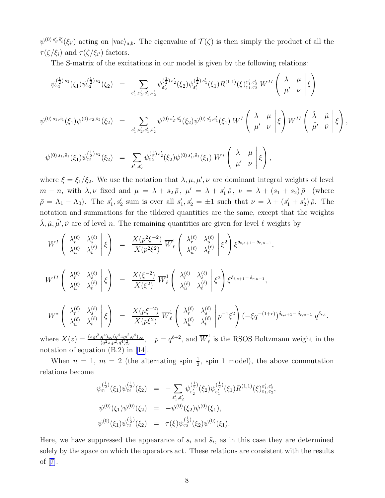$\psi^{(0)}$ <sup>s</sup><sup>*i*</sup>,<sup>s</sup><sup>*i*</sup><sub>i</sub>( $\xi$ <sup>*i*</sup>) acting on  $|{\rm vac}\rangle_{a,b}$ . The eigenvalue of  $\mathcal{T}(\zeta)$  is then simply the product of all the  $\tau(\zeta/\xi_i)$  and  $\tau(\zeta/\xi_{i'})$  factors.

The S-matrix of the excitations in our model is given by the following relations:

$$
\psi_{\varepsilon_{1}}^{(\frac{1}{2})s_{1}}(\xi_{1})\psi_{\varepsilon_{2}}^{(\frac{1}{2})s_{2}}(\xi_{2}) = \sum_{\varepsilon_{1}',\varepsilon_{2}',s_{1}',s_{2}'} \psi_{\varepsilon_{2}'}^{(\frac{1}{2})s_{2}'}(\xi_{2})\psi_{\varepsilon_{1}'}^{(\frac{1}{2})s_{1}'}(\xi_{1})\bar{R}^{(1,1)}(\xi)_{\varepsilon_{1},\varepsilon_{2}'}^{\varepsilon_{1}',\varepsilon_{2}'} W^{II} \begin{pmatrix} \lambda & \mu \\ \mu' & \nu \end{pmatrix} \xi
$$
\n
$$
\psi^{(0)s_{1},\tilde{s}_{1}}(\xi_{1})\psi^{(0)s_{2},\tilde{s}_{2}}(\xi_{2}) = \sum_{s_{1}',s_{2}',\tilde{s}_{1}',\tilde{s}_{2}'} \psi^{(0)s_{2}',\tilde{s}_{2}'}(\xi_{2})\psi^{(0)s_{1}',\tilde{s}_{1}'}(\xi_{1}) W^{I} \begin{pmatrix} \lambda & \mu \\ \mu' & \nu \end{pmatrix} \xi \begin{pmatrix} \tilde{\lambda} & \tilde{\mu} \\ \tilde{\mu}' & \tilde{\nu} \end{pmatrix} \xi \right),
$$
\n
$$
\psi^{(0)s_{1},\tilde{s}_{1}}(\xi_{1})\psi_{\varepsilon_{2}}^{(\frac{1}{2})s_{2}}(\xi_{2}) = \sum_{s_{1}',s_{2}'} \psi_{\varepsilon_{2}}^{(\frac{1}{2})s_{2}'}(\xi_{2})\psi^{(0)s_{1}',\tilde{s}_{1}}(\xi_{1}) W^{*} \begin{pmatrix} \lambda & \mu \\ \mu' & \nu \end{pmatrix} \xi \right),
$$

where  $\xi = \xi_1/\xi_2$ . We use the notation that  $\lambda, \mu, \mu', \nu$  are dominant integral weights of level  $m-n$ , with  $\lambda, \nu$  fixed and  $\mu = \lambda + s_2 \bar{\rho}$ ,  $\mu' = \lambda + s'_1 \bar{\rho}$ ,  $\nu = \lambda + (s_1 + s_2) \bar{\rho}$  (where  $\bar{\rho} = \Lambda_1 - \Lambda_0$ ). The  $s'_1, s'_2$  sum is over all  $s'_1, s'_2 = \pm 1$  such that  $\nu = \lambda + (s'_1 + s'_2) \bar{\rho}$ . The notation and summations for the tildered quantities are the same, except that the weights  $\tilde{\lambda}, \tilde{\mu}, \tilde{\mu'}, \tilde{\nu}$  are of level n. The remaining quantities are given for level  $\ell$  weights by

$$
W^{I} \begin{pmatrix} \lambda_{r}^{(\ell)} & \lambda_{s}^{(\ell)} \\ \lambda_{u}^{(\ell)} & \lambda_{t}^{(\ell)} \end{pmatrix} \xi \right) = \frac{X(p^{2}\xi^{-2})}{X(p^{2}\xi^{2})} \overline{W}_{\ell}^{1} \begin{pmatrix} \lambda_{r}^{(\ell)} & \lambda_{s}^{(\ell)} \\ \lambda_{u}^{(\ell)} & \lambda_{t}^{(\ell)} \end{pmatrix} \xi^{2} \begin{pmatrix} \xi_{t,s+1} - \delta_{r,u-1} \\ \xi_{t}^{2} \end{pmatrix},
$$
  
\n
$$
W^{II} \begin{pmatrix} \lambda_{r}^{(\ell)} & \lambda_{s}^{(\ell)} \\ \lambda_{u}^{(\ell)} & \lambda_{t}^{(\ell)} \end{pmatrix} \xi \right) = \frac{X(\xi^{-2})}{X(\xi^{2})} \overline{W}_{\ell}^{1} \begin{pmatrix} \lambda_{r}^{(\ell)} & \lambda_{s}^{(\ell)} \\ \lambda_{u}^{(\ell)} & \lambda_{t}^{(\ell)} \end{pmatrix} \xi^{2} \begin{pmatrix} \xi_{t,s+1} - \delta_{r,u-1} \\ \xi_{t,s+1} - \delta_{r,u-1} \end{pmatrix},
$$
  
\n
$$
W^{*} \begin{pmatrix} \lambda_{r}^{(\ell)} & \lambda_{s}^{(\ell)} \\ \lambda_{u}^{(\ell)} & \lambda_{t}^{(\ell)} \end{pmatrix} \xi \right) = \frac{X(p\xi^{-2})}{X(p\xi^{2})} \overline{W}_{\ell}^{1} \begin{pmatrix} \lambda_{r}^{(\ell)} & \lambda_{s}^{(\ell)} \\ \lambda_{u}^{(\ell)} & \lambda_{t}^{(\ell)} \end{pmatrix} p^{-1} \xi^{2} \begin{pmatrix} -\xi q^{-(1+r)} \delta_{t,s+1} - \delta_{r,u-1} q^{\delta_{r,t}} \\ -\xi q^{-(1+r)} \delta_{t,s+1} q^{\delta_{r,t}} \end{pmatrix}.
$$
  
\nhere  $X(z) = \frac{(z;p^{2},q^{4}) \infty (q^{4}z;p^{2},q^{4}) \infty}{\sum_{i=1}^{n} q^{-(i+2)} q^{i+2}}$  and  $\overline{W}_{z}^{1}$  is the RSOS Boltzmann weight in the

where  $X(z)$  $(q^2z;p^2,q^4)_{\infty}^2$  $p = q^{\ell+2}$ , and  $\overline{W}_{\ell}^1$  $\frac{1}{\ell}$  is the RSOS Boltzmann weight in the notation of equation (B.2) in[[14\]](#page-11-0).

When  $n = 1$ ,  $m = 2$  (the alternating spin  $\frac{1}{2}$ , spin 1 model), the above commutation relations become

$$
\psi_{\varepsilon_1}^{(\frac{1}{2})}(\xi_1)\psi_{\varepsilon_2}^{(\frac{1}{2})}(\xi_2) = -\sum_{\varepsilon_1',\varepsilon_2'} \psi_{\varepsilon_2'}^{(\frac{1}{2})}(\xi_2)\psi_{\varepsilon_1'}^{(\frac{1}{2})}(\xi_1)R^{(1,1)}(\xi)_{\varepsilon_1,\varepsilon_2'}^{\varepsilon_1',\varepsilon_2'},
$$
  

$$
\psi^{(0)}(\xi_1)\psi^{(0)}(\xi_2) = -\psi^{(0)}(\xi_2)\psi^{(0)}(\xi_1),
$$
  

$$
\psi^{(0)}(\xi_1)\psi_{\varepsilon_2}^{(\frac{1}{2})}(\xi_2) = \tau(\xi)\psi_{\varepsilon_2'}^{(\frac{1}{2})}(\xi_2)\psi^{(0)}(\xi_1).
$$

Here, we have suppressed the appearance of  $s_i$  and  $\tilde{s}_i$ , as in this case they are determined solely by the space on which the operators act. These relations are consistent with the results of [\[7\]](#page-11-0).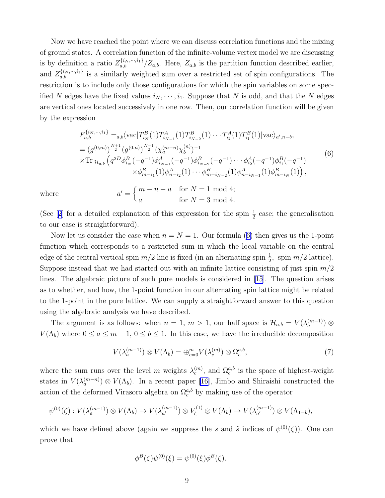<span id="page-8-0"></span>Now we have reached the point where we can discuss correlation functions and the mixing of ground states. A correlation function of the infinite-volume vertex model we are discussing is by definition a ratio  $Z_{a,b}^{\{i_N,\dots,i_1\}}/Z_{a,b}$ . Here,  $Z_{a,b}$  is the partition function described earlier, and  $Z_{a,b}^{\{i_N,\dots,i_1\}}$  is a similarly weighted sum over a restricted set of spin configurations. The restriction is to include only those configurations for which the spin variables on some specified N edges have the fixed values  $i_N, \dots, i_1$ . Suppose that N is odd, and that the N edges are vertical ones located successively in one row. Then, our correlation function will be given by the expression

$$
F_{a,b}^{\{i_N,\dots,i_1\}} =_{a,b} \langle \text{vac} | T_{i_N}^B(1) T_{i_{N-1}}^A(1) T_{i_{N-2}}^B(1) \cdots T_{i_2}^A(1) T_{i_1}^B(1) | \text{vac} \rangle_{a',n-b},
$$
  
\n
$$
= (g^{(0,m)})^{\frac{N+1}{2}} (g^{(0,n)})^{\frac{N-1}{2}} (\chi_a^{(m-n)} \chi_b^{(n)})^{-1}
$$
  
\n
$$
\times \text{Tr}_{\mathcal{H}_{a,b}} \left( q^{2D} \phi_{i_N}^B(-q^{-1}) \phi_{i_{N-1}}^A(-q^{-1}) \phi_{i_{N-2}}^B(-q^{-1}) \cdots \phi_{i_2}^A(-q^{-1}) \phi_{i_1}^B(-q^{-1}) \right)
$$
  
\n
$$
\times \phi_{m-i_1}^B(1) \phi_{n-i_2}^A(1) \cdots \phi_{m-i_{N-2}}^B(1) \phi_{n-i_{N-1}}^A(1) \phi_{m-i_N}^B(1) ,
$$
  
\n
$$
a' = \begin{cases} m-n-a & \text{for } N = 1 \text{ mod } 4; \\ a & \text{for } N = 3 \text{ mod } 4. \end{cases}
$$
 (6)

for  $N = 3 \text{ mod } 4$ .

where

(See[[2](#page-11-0)] for a detailed explanation of this expression for the spin  $\frac{1}{2}$  case; the generalisation to our case is straightforward).

Nowlet us consider the case when  $n = N = 1$ . Our formula ([6\)](#page-6-0) then gives us the 1-point function which corresponds to a restricted sum in which the local variable on the central edge of the central vertical spin  $m/2$  line is fixed (in an alternating spin  $\frac{1}{2}$ , spin  $m/2$  lattice). Suppose instead that we had started out with an infinite lattice consisting of just spin  $m/2$ lines. The algebraic picture of such pure models is considered in [\[15](#page-11-0)]. The question arises as to whether, and how, the 1-point function in our alternating spin lattice might be related to the 1-point in the pure lattice. We can supply a straightforward answer to this question using the algebraic analysis we have described.

The argument is as follows: when  $n = 1, m > 1$ , our half space is  $\mathcal{H}_{a,b} = V(\lambda_a^{(m-1)}) \otimes$  $V(\Lambda_b)$  where  $0 \le a \le m-1, 0 \le b \le 1$ . In this case, we have the irreducible decomposition

$$
V(\lambda_a^{(m-1)}) \otimes V(\Lambda_b) = \bigoplus_{c=0}^m V(\lambda_c^{(m)}) \otimes \Omega_c^{a,b},\tag{7}
$$

where the sum runs over the level m weights  $\lambda_c^{(m)}$ , and  $\Omega_c^{a,b}$  is the space of highest-weight states in  $V(\lambda_a^{(m-n)}) \otimes V(\Lambda_b)$ . In a recent paper [\[16](#page-11-0)], Jimbo and Shiraishi constructed the action of the deformed Virasoro algebra on  $\Omega_c^{a,b}$  by making use of the operator

$$
\psi^{(0)}(\zeta): V(\lambda_a^{(m-1)}) \otimes V(\Lambda_b) \to V(\lambda_{a'}^{(m-1)}) \otimes V_{\zeta}^{(1)} \otimes V(\Lambda_b) \to V(\lambda_{a'}^{(m-1)}) \otimes V(\Lambda_{1-b}),
$$

which we have defined above (again we suppress the s and  $\tilde{s}$  indices of  $\psi^{(0)}(\zeta)$ ). One can prove that

$$
\phi^{B}(\zeta)\psi^{(0)}(\xi) = \psi^{(0)}(\xi)\phi^{B}(\zeta).
$$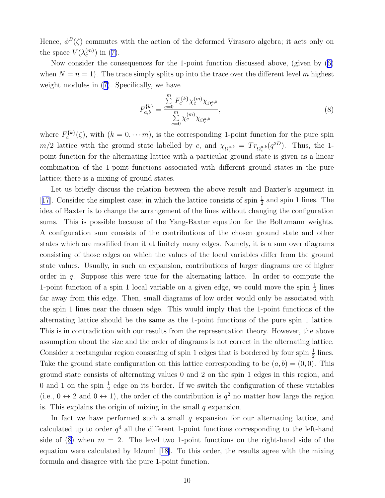Hence,  $\phi^B(\zeta)$  commutes with the action of the deformed Virasoro algebra; it acts only on thespace  $V(\lambda_c^{(m)})$  in ([7\)](#page-8-0).

Now consider the consequences for the 1-point function discussed above, (given by([6\)](#page-6-0) when  $N = n = 1$ . The trace simply splits up into the trace over the different level m highest weight modules in([7\)](#page-8-0). Specifically, we have

$$
F_{a,b}^{\{k\}} = \frac{\sum\limits_{c=0}^{m} F_c^{\{k\}} \chi_c^{(m)} \chi_{\Omega_c^{a,b}}}{\sum\limits_{c=0}^{m} \chi_c^{(m)} \chi_{\Omega_c^{a,b}}},\tag{8}
$$

where  $F_c^{\{k\}}(\zeta)$ , with  $(k = 0, \dots, m)$ , is the corresponding 1-point function for the pure spin  $m/2$  lattice with the ground state labelled by c, and  $\chi_{\Omega_c^{a,b}} = Tr_{\Omega_c^{a,b}}(q^{2D})$ . Thus, the 1point function for the alternating lattice with a particular ground state is given as a linear combination of the 1-point functions associated with different ground states in the pure lattice; there is a mixing of ground states.

Let us briefly discuss the relation between the above result and Baxter's argument in [[17](#page-11-0)]. Consider the simplest case; in which the lattice consists of spin  $\frac{1}{2}$  and spin 1 lines. The idea of Baxter is to change the arrangement of the lines without changing the configuration sums. This is possible because of the Yang-Baxter equation for the Boltzmann weights. A configuration sum consists of the contributions of the chosen ground state and other states which are modified from it at finitely many edges. Namely, it is a sum over diagrams consisting of those edges on which the values of the local variables differ from the ground state values. Usually, in such an expansion, contributions of larger diagrams are of higher order in  $q$ . Suppose this were true for the alternating lattice. In order to compute the 1-point function of a spin 1 local variable on a given edge, we could move the spin  $\frac{1}{2}$  lines far away from this edge. Then, small diagrams of low order would only be associated with the spin 1 lines near the chosen edge. This would imply that the 1-point functions of the alternating lattice should be the same as the 1-point functions of the pure spin 1 lattice. This is in contradiction with our results from the representation theory. However, the above assumption about the size and the order of diagrams is not correct in the alternating lattice. Consider a rectangular region consisting of spin 1 edges that is bordered by four spin  $\frac{1}{2}$  lines. Take the ground state configuration on this lattice corresponding to be  $(a, b) = (0, 0)$ . This ground state consists of alternating values 0 and 2 on the spin 1 edges in this region, and 0 and 1 on the spin  $\frac{1}{2}$  edge on its border. If we switch the configuration of these variables (i.e.,  $0 \leftrightarrow 2$  and  $0 \leftrightarrow 1$ ), the order of the contribution is  $q^2$  no matter how large the region is. This explains the origin of mixing in the small  $q$  expansion.

In fact we have performed such a small  $q$  expansion for our alternating lattice, and calculated up to order  $q<sup>4</sup>$  all the different 1-point functions corresponding to the left-hand sideof ([8\)](#page-8-0) when  $m = 2$ . The level two 1-point functions on the right-hand side of the equation were calculated by Idzumi [\[18\]](#page-11-0). To this order, the results agree with the mixing formula and disagree with the pure 1-point function.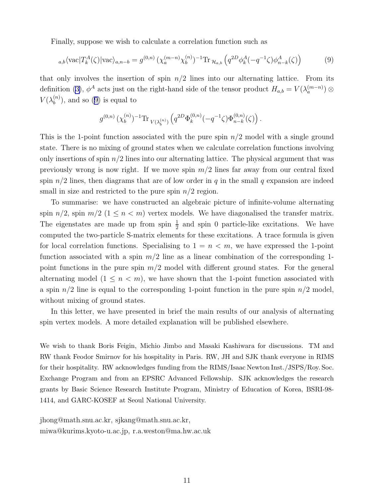Finally, suppose we wish to calculate a correlation function such as

$$
_{a,b}\langle \text{vac}|T_k^A(\zeta)|\text{vac}\rangle_{a,n-b} = g^{(0,n)} \left(\chi_a^{(m-n)}\chi_b^{(n)}\right)^{-1} \text{Tr}_{\mathcal{H}_{a,b}}\left(q^{2D}\phi_k^A(-q^{-1}\zeta)\phi_{n-k}^A(\zeta)\right) \tag{9}
$$

that only involves the insertion of spin  $n/2$  lines into our alternating lattice. From its definition([3\)](#page-4-0),  $\phi^A$  acts just on the right-hand side of the tensor product  $H_{a,b} = V(\lambda_a^{(m-n)}) \otimes$  $V(\lambda_b^{(n)}$  $\binom{n}{b}$ , and so (9) is equal to

$$
g^{(0,n)}\,(\chi_b^{(n)})^{-1} \text{Tr}\,{}_{V(\lambda_b^{(n)})}\left(q^{2D}\Phi_k^{(0,n)}(-q^{-1}\zeta)\Phi_{n-k}^{(0,n)}(\zeta)\right).
$$

This is the 1-point function associated with the pure spin  $n/2$  model with a single ground state. There is no mixing of ground states when we calculate correlation functions involving only insertions of spin  $n/2$  lines into our alternating lattice. The physical argument that was previously wrong is now right. If we move spin  $m/2$  lines far away from our central fixed spin  $n/2$  lines, then diagrams that are of low order in q in the small q expansion are indeed small in size and restricted to the pure spin  $n/2$  region.

To summarise: we have constructed an algebraic picture of infinite-volume alternating spin  $n/2$ , spin  $m/2$  ( $1 \le n < m$ ) vertex models. We have diagonalised the transfer matrix. The eigenstates are made up from spin  $\frac{1}{2}$  and spin 0 particle-like excitations. We have computed the two-particle S-matrix elements for these excitations. A trace formula is given for local correlation functions. Specialising to  $1 = n < m$ , we have expressed the 1-point function associated with a spin  $m/2$  line as a linear combination of the corresponding 1point functions in the pure spin  $m/2$  model with different ground states. For the general alternating model  $(1 \leq n < m)$ , we have shown that the 1-point function associated with a spin  $n/2$  line is equal to the corresponding 1-point function in the pure spin  $n/2$  model, without mixing of ground states.

In this letter, we have presented in brief the main results of our analysis of alternating spin vertex models. A more detailed explanation will be published elsewhere.

We wish to thank Boris Feigin, Michio Jimbo and Masaki Kashiwara for discussions. TM and RW thank Feodor Smirnov for his hospitality in Paris. RW, JH and SJK thank everyone in RIMS for their hospitality. RW acknowledges funding from the RIMS/Isaac Newton Inst./JSPS/Roy. Soc. Exchange Program and from an EPSRC Advanced Fellowship. SJK acknowledges the research grants by Basic Science Research Institute Program, Ministry of Education of Korea, BSRI-98- 1414, and GARC-KOSEF at Seoul National University.

jhong@math.snu.ac.kr, sjkang@math.snu.ac.kr, miwa@kurims.kyoto-u.ac.jp, r.a.weston@ma.hw.ac.uk